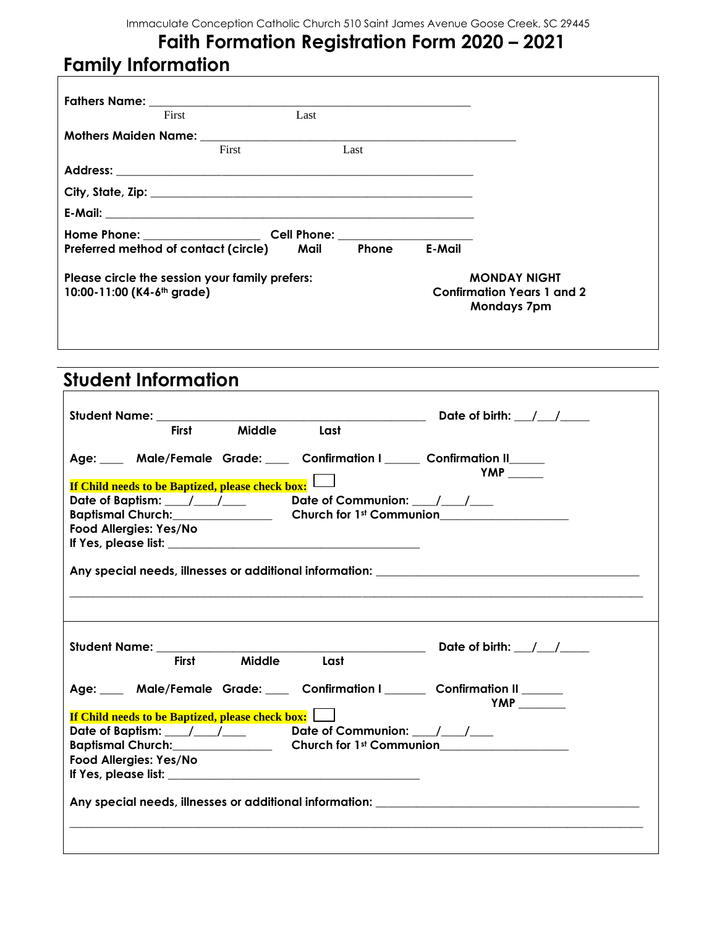## **Faith Formation Registration Form 2020 – 2021 Family Information**

|                                                                                          | First                                     | Last |              |                                                                                |  |
|------------------------------------------------------------------------------------------|-------------------------------------------|------|--------------|--------------------------------------------------------------------------------|--|
|                                                                                          |                                           |      |              |                                                                                |  |
|                                                                                          | First                                     |      | Last         |                                                                                |  |
|                                                                                          |                                           |      |              |                                                                                |  |
|                                                                                          |                                           |      |              |                                                                                |  |
|                                                                                          |                                           |      |              |                                                                                |  |
|                                                                                          |                                           |      |              |                                                                                |  |
|                                                                                          | Preferred method of contact (circle) Mail |      | <b>Phone</b> | E-Mail                                                                         |  |
| Please circle the session your family prefers:<br>10:00-11:00 (K4-6 <sup>th</sup> grade) |                                           |      |              | <b>MONDAY NIGHT</b><br><b>Confirmation Years 1 and 2</b><br><b>Mondays 7pm</b> |  |
|                                                                                          |                                           |      |              |                                                                                |  |

## **Student Information**

| Student Name: The Contract of the Contract of the Contract of the Contract of the Contract of the Contract of the Contract of the Contract of the Contract of the Contract of the Contract of the Contract of the Contract of<br>First Middle Last | Date of birth: $/$ /     |
|----------------------------------------------------------------------------------------------------------------------------------------------------------------------------------------------------------------------------------------------------|--------------------------|
| Age: ____ Male/Female Grade: ____ Confirmation I _____ Confirmation II ____<br>Date of Baptism: ___/___/____ Date of Communion: ___/___/___<br>Baptismal Church: Church Church for 1st Communion<br>Food Allergies: Yes/No                         | $YMP$ <sub>______</sub>  |
|                                                                                                                                                                                                                                                    |                          |
| First Middle Last                                                                                                                                                                                                                                  | Date of birth: $/$ / $/$ |
| Age: ___ Male/Female Grade: ___ Confirmation I _____ Confirmation II _____<br><b>If Child needs to be Baptized, please check box:</b>                                                                                                              |                          |
| Date of Baptism: ___/___/____ Date of Communion: ___/___/___<br>Baptismal Church: Church Church for 1st Communion<br>Food Allergies: Yes/No                                                                                                        |                          |